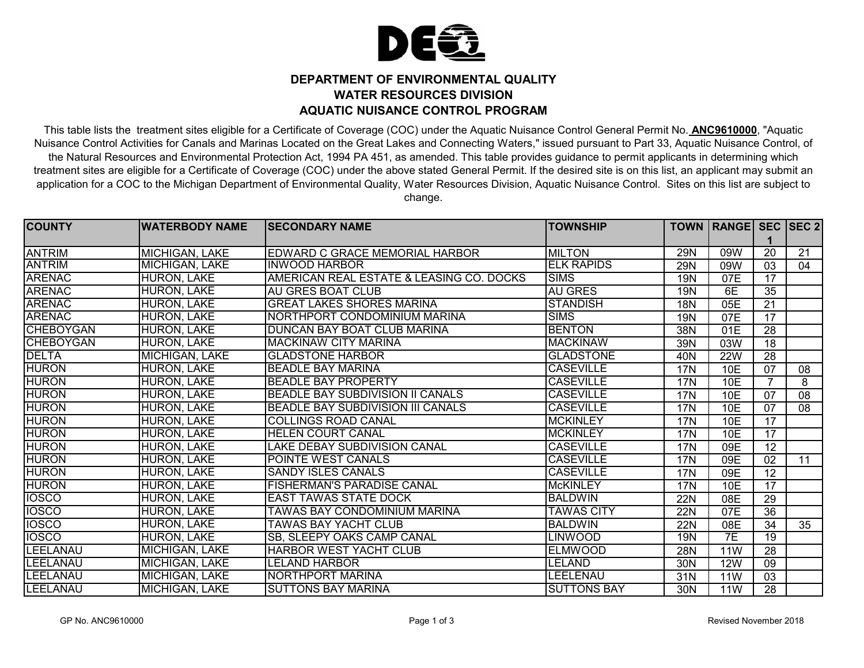

## **DEPARTMENT OF ENVIRONMENTAL QUALITY WATER RESOURCES DIVISION AQUATIC NUISANCE CONTROL PROGRAM**

This table lists the treatment sites eligible for a Certificate of Coverage (COC) under the Aquatic Nuisance Control General Permit No. **ANC9610000**, "Aquatic Nuisance Control Activities for Canals and Marinas Located on the Great Lakes and Connecting Waters," issued pursuant to Part 33, Aquatic Nuisance Control, of the Natural Resources and Environmental Protection Act, 1994 PA 451, as amended. This table provides guidance to permit applicants in determining which treatment sites are eligible for a Certificate of Coverage (COC) under the above stated General Permit. If the desired site is on this list, an applicant may submit an application for a COC to the Michigan Department of Environmental Quality, Water Resources Division, Aquatic Nuisance Control. Sites on this list are subject to change.

| <b>COUNTY</b>    | <b>WATERBODY NAME</b> | <b>SECONDARY NAME</b>                    | <b>TOWNSHIP</b>    |                 | TOWN   RANGE   SEC   SEC 2 |                 |    |
|------------------|-----------------------|------------------------------------------|--------------------|-----------------|----------------------------|-----------------|----|
|                  |                       |                                          |                    |                 |                            |                 |    |
| <b>ANTRIM</b>    | MICHIGAN, LAKE        | EDWARD C GRACE MEMORIAL HARBOR           | <b>MILTON</b>      | <b>29N</b>      | 09W                        | $\overline{20}$ | 21 |
| <b>ANTRIM</b>    | <b>MICHIGAN, LAKE</b> | <b>INWOOD HARBOR</b>                     | <b>ELK RAPIDS</b>  | <b>29N</b>      | 09W                        | 03              | 04 |
| <b>ARENAC</b>    | <b>HURON, LAKE</b>    | AMERICAN REAL ESTATE & LEASING CO. DOCKS | <b>SIMS</b>        | <b>19N</b>      | 07E                        | 17              |    |
| <b>ARENAC</b>    | <b>HURON, LAKE</b>    | <b>AU GRES BOAT CLUB</b>                 | <b>AU GRES</b>     | 19 <sub>N</sub> | 6E                         | 35              |    |
| <b>ARENAC</b>    | <b>HURON, LAKE</b>    | <b>GREAT LAKES SHORES MARINA</b>         | <b>STANDISH</b>    | <b>18N</b>      | 05E                        | $\overline{21}$ |    |
| <b>ARENAC</b>    | <b>HURON, LAKE</b>    | NORTHPORT CONDOMINIUM MARINA             | <b>SIMS</b>        | 19N             | 07E                        | 17              |    |
| <b>CHEBOYGAN</b> | <b>HURON, LAKE</b>    | DUNCAN BAY BOAT CLUB MARINA              | <b>BENTON</b>      | 38N             | 01E                        | 28              |    |
| <b>CHEBOYGAN</b> | <b>HURON, LAKE</b>    | <b>MACKINAW CITY MARINA</b>              | <b>MACKINAW</b>    | 39N             | 03W                        | $\overline{18}$ |    |
| <b>DELTA</b>     | <b>MICHIGAN, LAKE</b> | <b>GLADSTONE HARBOR</b>                  | <b>GLADSTONE</b>   | 40N             | <b>22W</b>                 | $\overline{28}$ |    |
| <b>HURON</b>     | <b>HURON, LAKE</b>    | <b>BEADLE BAY MARINA</b>                 | <b>CASEVILLE</b>   | <b>17N</b>      | 10E                        | 07              | 08 |
| <b>HURON</b>     | <b>HURON, LAKE</b>    | <b>BEADLE BAY PROPERTY</b>               | <b>CASEVILLE</b>   | 17N             | 10E                        |                 | 8  |
| <b>HURON</b>     | <b>HURON, LAKE</b>    | <b>BEADLE BAY SUBDIVISION II CANALS</b>  | <b>CASEVILLE</b>   | <b>17N</b>      | 10E                        | 07              | 08 |
| <b>HURON</b>     | <b>HURON, LAKE</b>    | BEADLE BAY SUBDIVISION III CANALS        | <b>CASEVILLE</b>   | 17N             | 10E                        | 07              | 08 |
| <b>HURON</b>     | <b>HURON, LAKE</b>    | <b>COLLINGS ROAD CANAL</b>               | <b>MCKINLEY</b>    | <b>17N</b>      | <b>10E</b>                 | 17              |    |
| <b>HURON</b>     | <b>HURON, LAKE</b>    | <b>HELEN COURT CANAL</b>                 | <b>MCKINLEY</b>    | <b>17N</b>      | <b>10E</b>                 | 17              |    |
| <b>HURON</b>     | <b>HURON, LAKE</b>    | LAKE DEBAY SUBDIVISION CANAL             | <b>CASEVILLE</b>   | <b>17N</b>      | 09E                        | 12              |    |
| <b>HURON</b>     | <b>HURON, LAKE</b>    | POINTE WEST CANALS                       | <b>CASEVILLE</b>   | <b>17N</b>      | 09E                        | 02              | 11 |
| <b>HURON</b>     | <b>HURON, LAKE</b>    | <b>SANDY ISLES CANALS</b>                | <b>CASEVILLE</b>   | <b>17N</b>      | 09E                        | $\overline{12}$ |    |
| <b>HURON</b>     | <b>HURON, LAKE</b>    | <b>FISHERMAN'S PARADISE CANAL</b>        | <b>McKINLEY</b>    | <b>17N</b>      | 10E                        | 17              |    |
| <b>IOSCO</b>     | <b>HURON, LAKE</b>    | <b>EAST TAWAS STATE DOCK</b>             | <b>BALDWIN</b>     | <b>22N</b>      | 08E                        | 29              |    |
| <b>IOSCO</b>     | <b>HURON, LAKE</b>    | TAWAS BAY CONDOMINIUM MARINA             | <b>TAWAS CITY</b>  | 22N             | 07E                        | $\overline{36}$ |    |
| <b>IOSCO</b>     | <b>HURON, LAKE</b>    | <b>TAWAS BAY YACHT CLUB</b>              | <b>BALDWIN</b>     | <b>22N</b>      | 08E                        | 34              | 35 |
| <b>IOSCO</b>     | <b>HURON, LAKE</b>    | SB, SLEEPY OAKS CAMP CANAL               | <b>LINWOOD</b>     | 19N             | 7E                         | $\overline{19}$ |    |
| LEELANAU         | <b>MICHIGAN, LAKE</b> | <b>HARBOR WEST YACHT CLUB</b>            | <b>ELMWOOD</b>     | 28N             | 11W                        | $\overline{28}$ |    |
| LEELANAU         | <b>MICHIGAN, LAKE</b> | <b>LELAND HARBOR</b>                     | <b>LELAND</b>      | 30N             | <b>12W</b>                 | 09              |    |
| LEELANAU         | MICHIGAN, LAKE        | NORTHPORT MARINA                         | LEELENAU           | 31N             | <b>11W</b>                 | 03              |    |
| LEELANAU         | <b>MICHIGAN, LAKE</b> | <b>SUTTONS BAY MARINA</b>                | <b>SUTTONS BAY</b> | 30N             | 11W                        | 28              |    |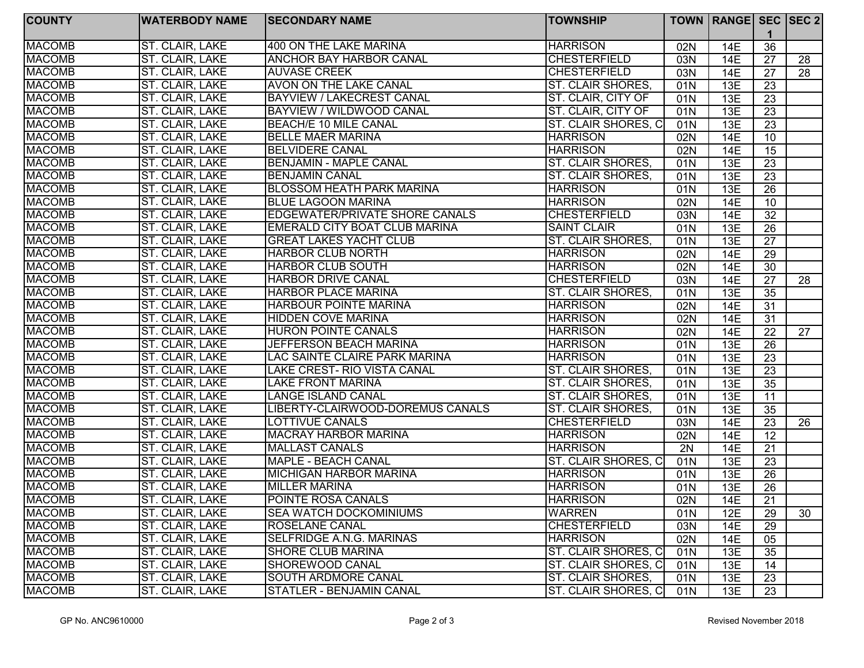| <b>COUNTY</b> | <b>WATERBODY NAME</b> | <b>SECONDARY NAME</b>            | <b>TOWNSHIP</b>          |                 | TOWN   RANGE   SEC   SEC 2 |                 |                 |
|---------------|-----------------------|----------------------------------|--------------------------|-----------------|----------------------------|-----------------|-----------------|
| <b>MACOMB</b> | ST. CLAIR, LAKE       | 400 ON THE LAKE MARINA           | <b>HARRISON</b>          | 02N             | 14E                        | 36              |                 |
| <b>MACOMB</b> | ST. CLAIR, LAKE       | <b>ANCHOR BAY HARBOR CANAL</b>   | <b>CHESTERFIELD</b>      | 03N             | 14E                        | 27              | 28              |
| <b>MACOMB</b> | ST. CLAIR, LAKE       | <b>AUVASE CREEK</b>              | <b>CHESTERFIELD</b>      | 03N             | 14E                        | 27              | 28              |
| <b>MACOMB</b> | ST. CLAIR, LAKE       | <b>AVON ON THE LAKE CANAL</b>    | ST. CLAIR SHORES,        | 01N             | 13E                        | $\overline{23}$ |                 |
| <b>MACOMB</b> | ST. CLAIR, LAKE       | <b>BAYVIEW / LAKECREST CANAL</b> | ST. CLAIR, CITY OF       | 01N             | 13E                        | 23              |                 |
| <b>MACOMB</b> | ST. CLAIR, LAKE       | <b>BAYVIEW / WILDWOOD CANAL</b>  | ST. CLAIR, CITY OF       | 01N             | 13E                        | 23              |                 |
| <b>MACOMB</b> | ST. CLAIR, LAKE       | <b>BEACH/E 10 MILE CANAL</b>     | ST. CLAIR SHORES, C      | 01N             | 13E                        | $\overline{23}$ |                 |
| <b>MACOMB</b> | ST. CLAIR, LAKE       | <b>BELLE MAER MARINA</b>         | <b>HARRISON</b>          | 02N             | 14E                        | 10              |                 |
| <b>MACOMB</b> | ST. CLAIR, LAKE       | <b>BELVIDERE CANAL</b>           | <b>HARRISON</b>          | 02N             | <b>14E</b>                 | 15              |                 |
| <b>MACOMB</b> | ST. CLAIR, LAKE       | <b>BENJAMIN - MAPLE CANAL</b>    | <b>ST. CLAIR SHORES,</b> | $\overline{01}$ | 13E                        | $\overline{23}$ |                 |
| <b>MACOMB</b> | ST. CLAIR, LAKE       | <b>BENJAMIN CANAL</b>            | ST. CLAIR SHORES,        | 01N             | 13E                        | 23              |                 |
| <b>MACOMB</b> | ST. CLAIR, LAKE       | <b>BLOSSOM HEATH PARK MARINA</b> | <b>HARRISON</b>          | 01N             | 13E                        | 26              |                 |
| <b>MACOMB</b> | ST. CLAIR, LAKE       | <b>BLUE LAGOON MARINA</b>        | <b>HARRISON</b>          | 02N             | <b>14E</b>                 | 10              |                 |
| <b>MACOMB</b> | ST. CLAIR, LAKE       | EDGEWATER/PRIVATE SHORE CANALS   | <b>CHESTERFIELD</b>      | 03N             | 14E                        | 32              |                 |
| <b>MACOMB</b> | ST. CLAIR, LAKE       | EMERALD CITY BOAT CLUB MARINA    | <b>SAINT CLAIR</b>       | 01N             | 13E                        | 26              |                 |
| <b>MACOMB</b> | ST. CLAIR, LAKE       | <b>GREAT LAKES YACHT CLUB</b>    | <b>ST. CLAIR SHORES,</b> | 01N             | 13E                        | 27              |                 |
| <b>MACOMB</b> | ST. CLAIR, LAKE       | <b>HARBOR CLUB NORTH</b>         | <b>HARRISON</b>          | 02N             | 14E                        | 29              |                 |
| <b>MACOMB</b> | ST. CLAIR, LAKE       | <b>HARBOR CLUB SOUTH</b>         | <b>HARRISON</b>          | 02N             | 14E                        | 30              |                 |
| <b>MACOMB</b> | ST. CLAIR, LAKE       | <b>HARBOR DRIVE CANAL</b>        | <b>CHESTERFIELD</b>      | 03N             | 14E                        | 27              | 28              |
| <b>MACOMB</b> | ST. CLAIR, LAKE       | <b>HARBOR PLACE MARINA</b>       | ST. CLAIR SHORES.        | 01N             | 13E                        | 35              |                 |
| <b>MACOMB</b> | ST. CLAIR, LAKE       | <b>HARBOUR POINTE MARINA</b>     | <b>HARRISON</b>          | 02N             | <b>14E</b>                 | 31              |                 |
| <b>MACOMB</b> | ST. CLAIR, LAKE       | <b>HIDDEN COVE MARINA</b>        | <b>HARRISON</b>          | 02N             | 14E                        | 31              |                 |
| <b>MACOMB</b> | ST. CLAIR, LAKE       | <b>HURON POINTE CANALS</b>       | <b>HARRISON</b>          | 02N             | 14E                        | 22              | $\overline{27}$ |
| <b>MACOMB</b> | ST. CLAIR, LAKE       | <b>JEFFERSON BEACH MARINA</b>    | <b>HARRISON</b>          | 01N             | 13E                        | 26              |                 |
| <b>MACOMB</b> | ST. CLAIR, LAKE       | LAC SAINTE CLAIRE PARK MARINA    | <b>HARRISON</b>          | 01N             | 13E                        | 23              |                 |
| <b>MACOMB</b> | ST. CLAIR, LAKE       | LAKE CREST- RIO VISTA CANAL      | <b>ST. CLAIR SHORES,</b> | 01N             | 13E                        | 23              |                 |
| <b>MACOMB</b> | ST. CLAIR, LAKE       | LAKE FRONT MARINA                | <b>ST. CLAIR SHORES,</b> | 01N             | 13E                        | 35              |                 |
| <b>MACOMB</b> | ST. CLAIR, LAKE       | LANGE ISLAND CANAL               | <b>ST. CLAIR SHORES,</b> | 01N             | 13E                        | 11              |                 |
| <b>MACOMB</b> | ST. CLAIR, LAKE       | LIBERTY-CLAIRWOOD-DOREMUS CANALS | ST. CLAIR SHORES,        | 01N             | 13E                        | $\overline{35}$ |                 |
| <b>MACOMB</b> | ST. CLAIR, LAKE       | <b>LOTTIVUE CANALS</b>           | <b>CHESTERFIELD</b>      | 03N             | 14E                        | 23              | 26              |
| <b>MACOMB</b> | ST. CLAIR, LAKE       | <b>MACRAY HARBOR MARINA</b>      | <b>HARRISON</b>          | 02N             | <b>14E</b>                 | 12              |                 |
| <b>MACOMB</b> | ST. CLAIR, LAKE       | <b>MALLAST CANALS</b>            | <b>HARRISON</b>          | 2N              | 14E                        | 21              |                 |
| <b>MACOMB</b> | ST. CLAIR, LAKE       | MAPLE - BEACH CANAL              | ST. CLAIR SHORES, C      | 01N             | 13E                        | 23              |                 |
| <b>MACOMB</b> | ST. CLAIR, LAKE       | <b>MICHIGAN HARBOR MARINA</b>    | <b>HARRISON</b>          | 01N             | 13E                        | 26              |                 |
| <b>MACOMB</b> | ST. CLAIR, LAKE       | <b>MILLER MARINA</b>             | <b>HARRISON</b>          | 01N             | 13E                        | $\overline{26}$ |                 |
| <b>MACOMB</b> | ST. CLAIR, LAKE       | POINTE ROSA CANALS               | <b>HARRISON</b>          | 02N             | 14E                        | 21              |                 |
| <b>MACOMB</b> | ST. CLAIR, LAKE       | <b>SEA WATCH DOCKOMINIUMS</b>    | <b>WARREN</b>            | 01N             | 12E                        | 29              | 30              |
| <b>MACOMB</b> | ST. CLAIR, LAKE       | <b>ROSELANE CANAL</b>            | <b>CHESTERFIELD</b>      | 03N             | 14E                        | 29              |                 |
| <b>MACOMB</b> | ST. CLAIR, LAKE       | SELFRIDGE A.N.G. MARINAS         | <b>HARRISON</b>          | 02N             | 14E                        | 05              |                 |
| <b>MACOMB</b> | ST. CLAIR, LAKE       | <b>SHORE CLUB MARINA</b>         | ST. CLAIR SHORES, C      | 01N             | 13E                        | 35              |                 |
| <b>MACOMB</b> | ST. CLAIR, LAKE       | SHOREWOOD CANAL                  | ST. CLAIR SHORES, C      | 01N             | 13E                        | 14              |                 |
| <b>MACOMB</b> | ST. CLAIR, LAKE       | <b>SOUTH ARDMORE CANAL</b>       | ST. CLAIR SHORES,        | 01N             | 13E                        | 23              |                 |
| <b>MACOMB</b> | ST. CLAIR, LAKE       | <b>STATLER - BENJAMIN CANAL</b>  | ST. CLAIR SHORES, C      | 01N             | 13E                        | 23              |                 |